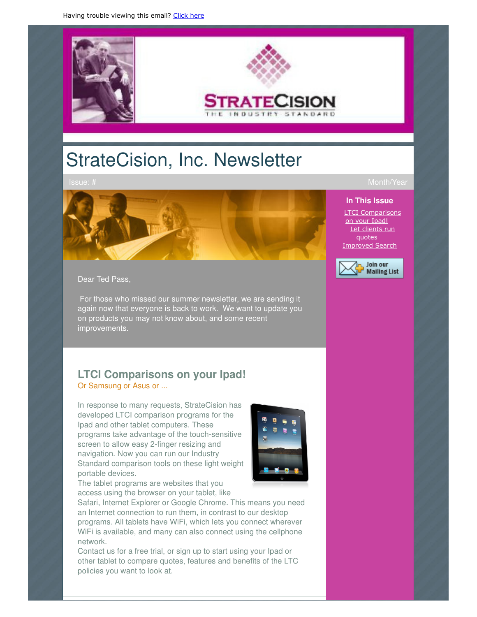

# StrateCision, Inc. Newsletter



Dear Ted Pass,

 For those who missed our summer newsletter, we are sending it again now that everyone is back to work. We want to update you on products you may not know about, and some recent improvements.

# **LTCI Comparisons on your Ipad!** Or Samsung or Asus or ...

In response to many requests, StrateCision has developed LTCI comparison programs for the Ipad and other tablet computers. These programs take advantage of the touch-sensitive screen to allow easy 2-finger resizing and navigation. Now you can run our Industry Standard comparison tools on these light weight portable devices.



The tablet programs are websites that you access using the browser on your tablet, like

Safari, Internet Explorer or Google Chrome. This means you need an Internet connection to run them, in contrast to our desktop programs. All tablets have WiFi, which lets you connect wherever WiFi is available, and many can also connect using the cellphone network.

Contact us for a free trial, or sign up to start using your Ipad or other tablet to compare quotes, features and benefits of the LTC policies you want to look at.

#### **In This Issue**

LTCI Comparisons on your Ipad! Let clients run quotes Improved Search

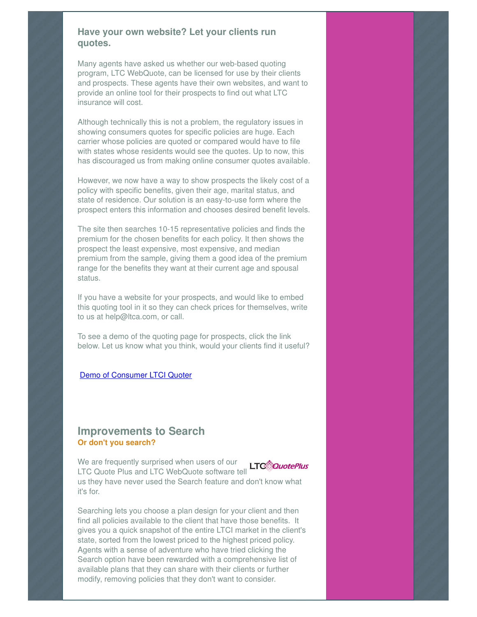#### **Have your own website? Let your clients run quotes.**

Many agents have asked us whether our web-based quoting program, LTC WebQuote, can be licensed for use by their clients and prospects. These agents have their own websites, and want to provide an online tool for their prospects to find out what LTC insurance will cost.

Although technically this is not a problem, the regulatory issues in showing consumers quotes for specific policies are huge. Each carrier whose policies are quoted or compared would have to file with states whose residents would see the quotes. Up to now, this has discouraged us from making online consumer quotes available.

However, we now have a way to show prospects the likely cost of a policy with specific benefits, given their age, marital status, and state of residence. Our solution is an easy-to-use form where the prospect enters this information and chooses desired benefit levels.

The site then searches 10-15 representative policies and finds the premium for the chosen benefits for each policy. It then shows the prospect the least expensive, most expensive, and median premium from the sample, giving them a good idea of the premium range for the benefits they want at their current age and spousal status.

If you have a website for your prospects, and would like to embed this quoting tool in it so they can check prices for themselves, write to us at help@ltca.com, or call.

To see a demo of the quoting page for prospects, click the link below. Let us know what you think, would your clients find it useful?

#### Demo of Consumer LTCI Quoter

### **Improvements to Search Or don't you search?**

We are frequently surprised when users of our **LTC**<sup>2</sup>QuotePlus LTC Quote Plus and LTC WebQuote software tell us they have never used the Search feature and don't know what it's for.

Searching lets you choose a plan design for your client and then find all policies available to the client that have those benefits. It gives you a quick snapshot of the entire LTCI market in the client's state, sorted from the lowest priced to the highest priced policy. Agents with a sense of adventure who have tried clicking the Search option have been rewarded with a comprehensive list of available plans that they can share with their clients or further modify, removing policies that they don't want to consider.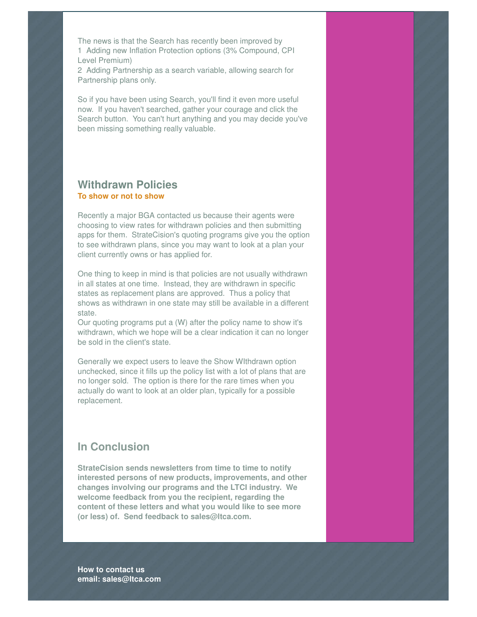The news is that the Search has recently been improved by 1 Adding new Inflation Protection options (3% Compound, CPI Level Premium)

2 Adding Partnership as a search variable, allowing search for Partnership plans only.

So if you have been using Search, you'll find it even more useful now. If you haven't searched, gather your courage and click the Search button. You can't hurt anything and you may decide you've been missing something really valuable.

## **Withdrawn Policies To show or not to show**

Recently a major BGA contacted us because their agents were choosing to view rates for withdrawn policies and then submitting apps for them. StrateCision's quoting programs give you the option to see withdrawn plans, since you may want to look at a plan your client currently owns or has applied for.

One thing to keep in mind is that policies are not usually withdrawn in all states at one time. Instead, they are withdrawn in specific states as replacement plans are approved. Thus a policy that shows as withdrawn in one state may still be available in a different state.

Our quoting programs put a (W) after the policy name to show it's withdrawn, which we hope will be a clear indication it can no longer be sold in the client's state.

Generally we expect users to leave the Show WIthdrawn option unchecked, since it fills up the policy list with a lot of plans that are no longer sold. The option is there for the rare times when you actually do want to look at an older plan, typically for a possible replacement.

# **In Conclusion**

**StrateCision sends newsletters from time to time to notify interested persons of new products, improvements, and other changes involving our programs and the LTCI industry. We welcome feedback from you the recipient, regarding the content of these letters and what you would like to see more (or less) of. Send feedback to sales@ltca.com.** 

**How to contact us email: sales@ltca.com**